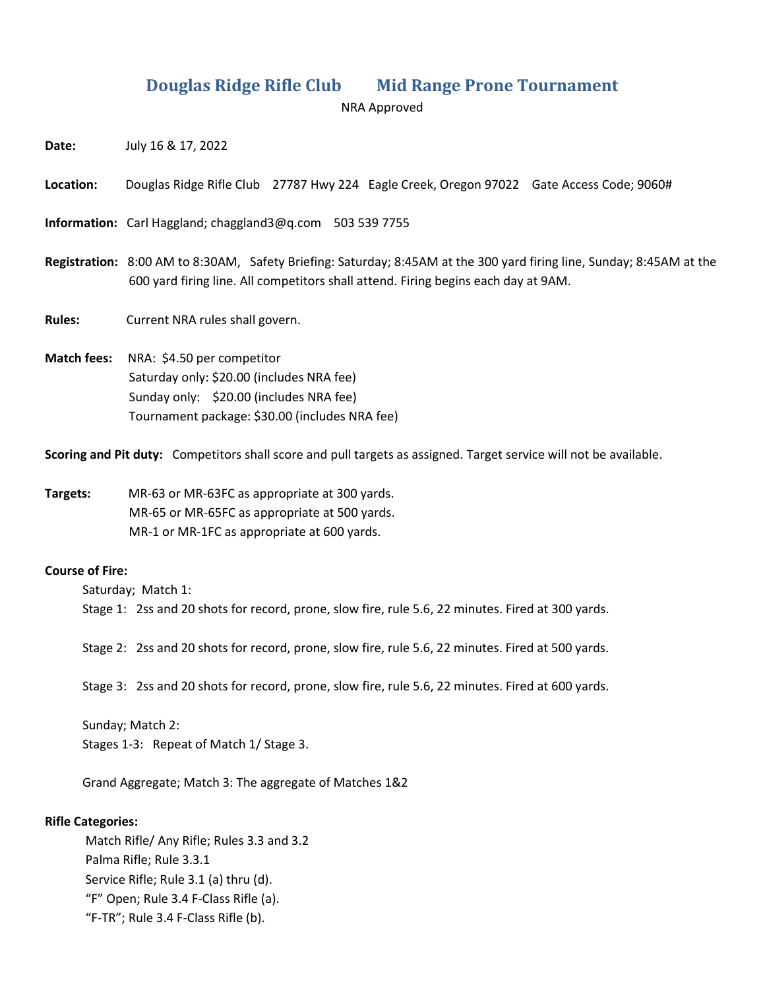## **Douglas Ridge Rifle Club Mid Range Prone Tournament**

NRA Approved

**Date:** July 16 & 17, 2022

**Location:** Douglas Ridge Rifle Club 27787 Hwy 224 Eagle Creek, Oregon 97022 Gate Access Code; 9060#

**Information:** Carl Haggland; chaggland3@q.com 503 539 7755

**Registration:** 8:00 AM to 8:30AM, Safety Briefing: Saturday; 8:45AM at the 300 yard firing line, Sunday; 8:45AM at the 600 yard firing line. All competitors shall attend. Firing begins each day at 9AM.

**Rules:** Current NRA rules shall govern.

**Match fees:** NRA: \$4.50 per competitor Saturday only: \$20.00 (includes NRA fee) Sunday only: \$20.00 (includes NRA fee) Tournament package: \$30.00 (includes NRA fee)

**Scoring and Pit duty:** Competitors shall score and pull targets as assigned. Target service will not be available.

**Targets:** MR-63 or MR-63FC as appropriate at 300 yards. MR-65 or MR-65FC as appropriate at 500 yards. MR-1 or MR-1FC as appropriate at 600 yards.

## **Course of Fire:**

Saturday; Match 1: Stage 1: 2ss and 20 shots for record, prone, slow fire, rule 5.6, 22 minutes. Fired at 300 yards.

Stage 2: 2ss and 20 shots for record, prone, slow fire, rule 5.6, 22 minutes. Fired at 500 yards.

Stage 3: 2ss and 20 shots for record, prone, slow fire, rule 5.6, 22 minutes. Fired at 600 yards.

 Sunday; Match 2: Stages 1-3: Repeat of Match 1/ Stage 3.

Grand Aggregate; Match 3: The aggregate of Matches 1&2

## **Rifle Categories:**

 Match Rifle/ Any Rifle; Rules 3.3 and 3.2 Palma Rifle; Rule 3.3.1 Service Rifle; Rule 3.1 (a) thru (d). "F" Open; Rule 3.4 F-Class Rifle (a). "F-TR"; Rule 3.4 F-Class Rifle (b).